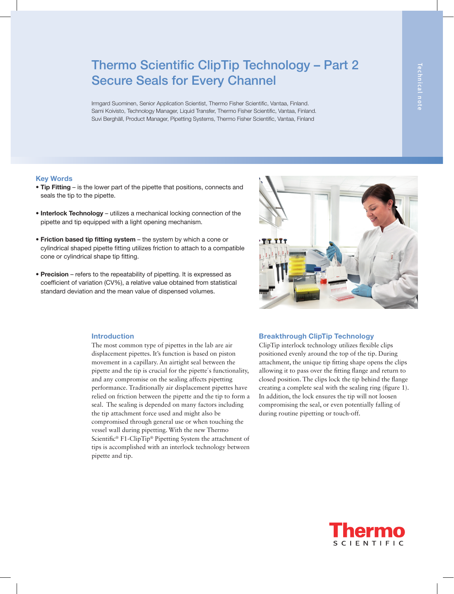# Thermo Scientific ClipTip Technology – Part 2 Secure Seals for Every Channel

Irmgard Suominen, Senior Application Scientist, Thermo Fisher Scientific, Vantaa, Finland. Sami Koivisto, Technology Manager, Liquid Transfer, Thermo Fisher Scientific, Vantaa, Finland. Suvi Berghäll, Product Manager, Pipetting Systems, Thermo Fisher Scientific, Vantaa, Finland

## Key Words

- Tip Fitting is the lower part of the pipette that positions, connects and seals the tip to the pipette.
- Interlock Technology utilizes a mechanical locking connection of the pipette and tip equipped with a light opening mechanism.
- Friction based tip fitting system the system by which a cone or cylindrical shaped pipette fitting utilizes friction to attach to a compatible cone or cylindrical shape tip fitting.
- Precision refers to the repeatability of pipetting. It is expressed as coefficient of variation (CV%), a relative value obtained from statistical standard deviation and the mean value of dispensed volumes.



## Introduction

The most common type of pipettes in the lab are air displacement pipettes. It's function is based on piston movement in a capillary. An airtight seal between the pipette and the tip is crucial for the pipette´s functionality, and any compromise on the sealing affects pipetting performance. Traditionally air displacement pipettes have relied on friction between the pipette and the tip to form a seal. The sealing is depended on many factors including the tip attachment force used and might also be compromised through general use or when touching the vessel wall during pipetting. With the new Thermo Scientific® F1-ClipTip® Pipetting System the attachment of tips is accomplished with an interlock technology between pipette and tip.

### Breakthrough ClipTip Technology

ClipTip interlock technology utilizes flexible clips positioned evenly around the top of the tip. During attachment, the unique tip fitting shape opens the clips allowing it to pass over the fitting flange and return to closed position. The clips lock the tip behind the flange creating a complete seal with the sealing ring (figure 1). In addition, the lock ensures the tip will not loosen compromising the seal, or even potentially falling of during routine pipetting or touch-off.

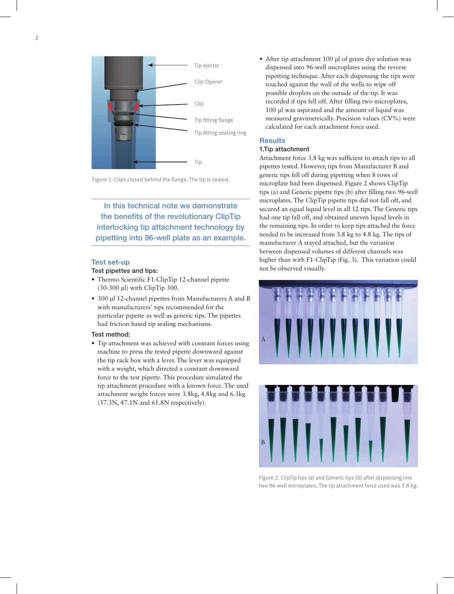

Figure 1: Clips closed behind the flange. The tip is sealed.

In this technical note we demonstrate the benefits of the revolutionary ClipTip interlocking tip attachment technology by pipetting into 96-well plate as an example.

## Test set-up

#### Test pipettes and tips:

- Thermo Scientific F1-ClipTip 12-channel pipette (30-300 µl) with ClipTip 300.
- 300 µl 12-channel pipettes from Manufacturers A and B with manufacturers' tips recommended for the particular pipette as well as generic tips. The pipettes had friction based tip sealing mechanisms.

#### Test method:

• Tip attachment was achieved with constant forces using machine to press the tested pipette downward against the tip rack box with a lever. The lever was equipped with a weight, which directed a constant downward force to the test pipette. This procedure simulated the tip attachment procedure with a known force. The used attachment weight forces were 3.8kg, 4.8kg and 6.3kg (37.3N, 47.1N and 61.8N respectively).

• After tip attachment 100 µl of green dye solution was dispensed into 96-well microplates using the reverse pipetting technique. After each dispensing the tips were touched against the wall of the wells to wipe off possible droplets on the outside of the tip. It was recorded if tips fell off. After filling two microplates, 100 µl was aspirated and the amount of liquid was measured gravimetrically. Precision values (CV%) were calculated for each attachment force used.

## **Results**

### 1.Tip attachment

Attachment force 3.8 kg was sufficient to attach tips to all pipettes tested. However, tips from Manufacturer B and generic tips fell off during pipetting when 8 rows of microplate had been dispensed. Figure 2 shows ClipTip tips (a) and Generic pipette tips (b) after filling two 96-well microplates. The ClipTip pipette tips did not fall off, and secured an equal liquid level in all 12 tips. The Generic tips had one tip fall off, and obtained uneven liquid levels in the remaining tips. In order to keep tips attached the force needed to be increased from 3.8 kg to 4.8 kg. The tips of manufacturer A stayed attached, but the variation between dispensed volumes of different channels was higher than with F1-ClipTip (Fig. 3). This variation could not be observed visually.



Figure 2. ClipTip tips (a) and Generic tips (b) after dispensing into two 96-well microplates. The tip attachment force used was 3.8 kg.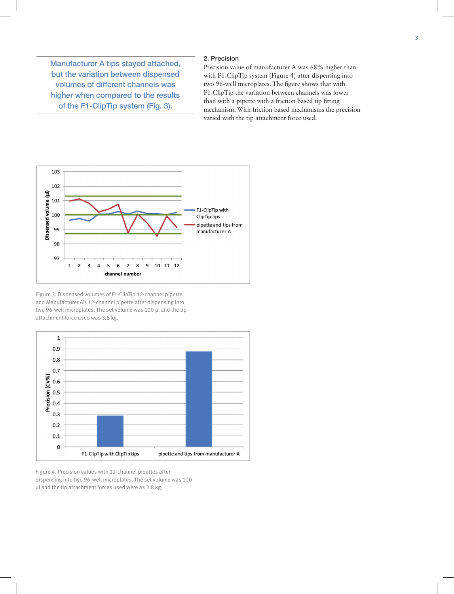Manufacturer A tips stayed attached, but the variation between dispensed volumes of different channels was higher when compared to the results of the F1-ClipTip system (Fig. 3).

## 2. Precision

Precision value of manufacturer A was 68% higher than with F1-ClipTip system (Figure 4) after dispensing into two 96-well microplates. The figure shows that with F1-ClipTip the variation between channels was lower than with a pipette with a friction based tip fitting mechanism. With friction based mechanisms the precision varied with the tip attachment force used.



Figure 3. Dispensed volumes of F1-ClipTip 12-channel pipette and Manufacturer A's 12-channel pipette after dispensing into two 96-well microplates. The set volume was 100 µl and the tip attachment force used was 3.8 kg.



Figure 4. Precision values with 12-channel pipettes after dispensing into two 96-well microplates. The set volume was 100 µl and the tip attachment forces used were as 3.8 kg.